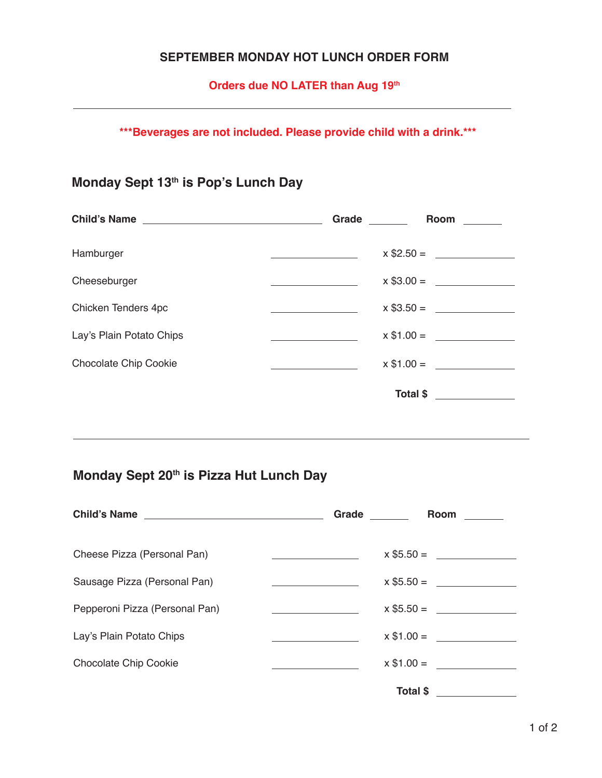## **SEPTEMBER MONDAY HOT LUNCH ORDER FORM**

**Orders due NO LATER than Aug 19th**

**\*\*\*Beverages are not included. Please provide child with a drink.\*\*\***

## **Monday Sept 13th is Pop's Lunch Day**

| Child's Name                 | Grade    | Room        |
|------------------------------|----------|-------------|
| Hamburger                    |          |             |
| Cheeseburger                 |          |             |
| Chicken Tenders 4pc          |          | $x $3.50 =$ |
| Lay's Plain Potato Chips     |          | $x $1.00 =$ |
| <b>Chocolate Chip Cookie</b> |          | $x $1.00 =$ |
|                              | Total \$ |             |

## **Monday Sept 20th is Pizza Hut Lunch Day**

| Child's Name                   | Grade                                          | Room            |
|--------------------------------|------------------------------------------------|-----------------|
| Cheese Pizza (Personal Pan)    | <u> Albanya (Albanya Albanya)</u>              | $x $5.50 =$     |
| Sausage Pizza (Personal Pan)   |                                                |                 |
| Pepperoni Pizza (Personal Pan) | <u>and the state of the state of the state</u> |                 |
| Lay's Plain Potato Chips       |                                                | $x $1.00 =$     |
| <b>Chocolate Chip Cookie</b>   |                                                | $x $1.00 =$     |
|                                |                                                | <b>Total \$</b> |